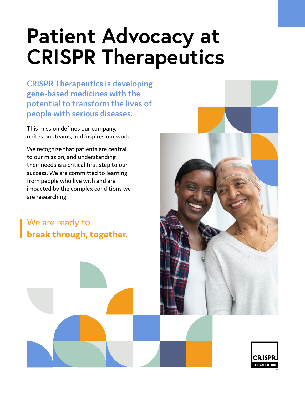# **Patient Advocacy at CRISPR Therapeutics**

**CRISPR Therapeutics is developing gene-based medicines with the potential to transform the lives of people with serious diseases.** 

This mission defines our company, unites our teams, and inspires our work.

We recognize that patients are central to our mission, and understanding their needs is a critical first step to our success. We are committed to learning from people who live with and are impacted by the complex conditions we are researching.

We are ready to **break through, together.**